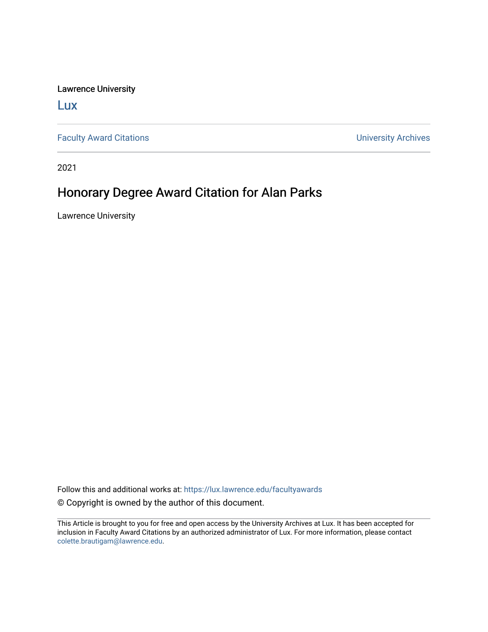Lawrence University

[Lux](https://lux.lawrence.edu/)

[Faculty Award Citations](https://lux.lawrence.edu/facultyawards) **Example 2018** 2019 12:30 November 2019 12:30 November 2019 12:30 November 2019 12:30

2021

## Honorary Degree Award Citation for Alan Parks

Lawrence University

Follow this and additional works at: [https://lux.lawrence.edu/facultyawards](https://lux.lawrence.edu/facultyawards?utm_source=lux.lawrence.edu%2Ffacultyawards%2F210&utm_medium=PDF&utm_campaign=PDFCoverPages)  © Copyright is owned by the author of this document.

This Article is brought to you for free and open access by the University Archives at Lux. It has been accepted for inclusion in Faculty Award Citations by an authorized administrator of Lux. For more information, please contact [colette.brautigam@lawrence.edu.](mailto:colette.brautigam@lawrence.edu)